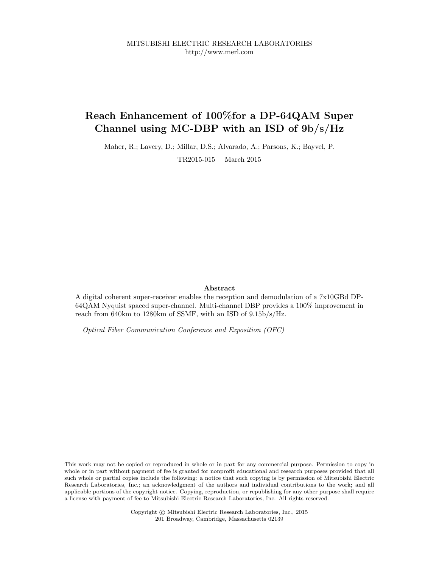MITSUBISHI ELECTRIC RESEARCH LABORATORIES http://www.merl.com

## Reach Enhancement of 100%for a DP-64QAM Super Channel using MC-DBP with an ISD of 9b/s/Hz

Maher, R.; Lavery, D.; Millar, D.S.; Alvarado, A.; Parsons, K.; Bayvel, P. TR2015-015 March 2015

### Abstract

A digital coherent super-receiver enables the reception and demodulation of a 7x10GBd DP-64QAM Nyquist spaced super-channel. Multi-channel DBP provides a 100% improvement in reach from 640km to 1280km of SSMF, with an ISD of 9.15b/s/Hz.

Optical Fiber Communication Conference and Exposition (OFC)

This work may not be copied or reproduced in whole or in part for any commercial purpose. Permission to copy in whole or in part without payment of fee is granted for nonprofit educational and research purposes provided that all such whole or partial copies include the following: a notice that such copying is by permission of Mitsubishi Electric Research Laboratories, Inc.; an acknowledgment of the authors and individual contributions to the work; and all applicable portions of the copyright notice. Copying, reproduction, or republishing for any other purpose shall require a license with payment of fee to Mitsubishi Electric Research Laboratories, Inc. All rights reserved.

> Copyright © Mitsubishi Electric Research Laboratories, Inc., 2015 201 Broadway, Cambridge, Massachusetts 02139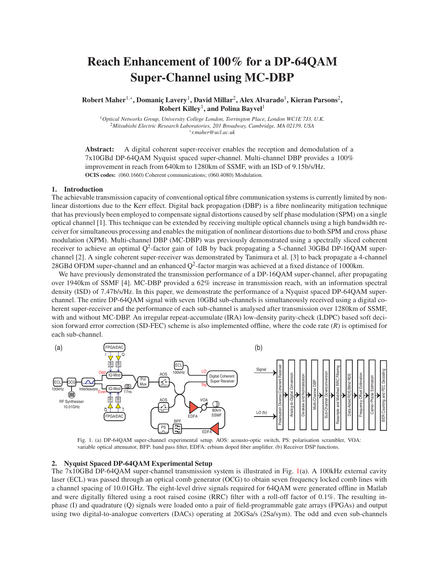# Reach Enhancement of 100% for a DP-64QAM Super-Channel using MC-DBP

 ${\rm \bf Robert\, \bf Maher^{1,*}, \bf Domanic\, \bf Lavery^1, \bf David\, \bf Millar^2, \bf Alex\, \bf AVarado^1, \bf Kieran \, \bf Parsons^2,$ Robert Killey $^1$ , and Polina Bayvel $^1$ 

<sup>1</sup>*Optical Networks Group, University College London, Torrington Place, London WC1E 7J3, U.K.* <sup>2</sup>*Mitsubishi Electric Research Laboratories, 201 Broadway, Cambridge, MA 02139, USA* ∗ *r.maher@ucl.ac.uk*

Abstract: A digital coherent super-receiver enables the reception and demodulation of a 7x10GBd DP-64QAM Nyquist spaced super-channel. Multi-channel DBP provides a 100% improvement in reach from 640km to 1280km of SSMF, with an ISD of 9.15b/s/Hz. OCIS codes: (060.1660) Coherent communications; (060.4080) Modulation.

#### 1. Introduction

The achievable transmission capacity of conventional optical fibre communication systems is currently limited by nonlinear distortions due to the Kerr effect. Digital back propagation (DBP) is a fibre nonlinearity mitigation technique that has previously been employed to compensate signal distortions caused by self phase modulation (SPM) on a single optical channel [1]. This technique can be extended by receiving multiple optical channels using a high bandwidth receiver for simultaneous processing and enables the mitigation of nonlinear distortions due to both SPM and cross phase modulation (XPM). Multi-channel DBP (MC-DBP) was previously demonstrated using a spectrally sliced coherent receiver to achieve an optimal Q<sup>2</sup>-factor gain of 1dB by back propagating a 5-channel 30GBd DP-16QAM superchannel [2]. A single coherent super-receiver was demonstrated by Tanimura et al. [3] to back propagate a 4-channel 28GBd OFDM super-channel and an enhanced  $Q^2$ -factor margin was achieved at a fixed distance of 1000km.

We have previously demonstrated the transmission performance of a DP-16QAM super-channel, after propagating over 1940km of SSMF [4]. MC-DBP provided a 62% increase in transmission reach, with an information spectral density (ISD) of 7.47b/s/Hz. In this paper, we demonstrate the performance of a Nyquist spaced DP-64QAM superchannel. The entire DP-64QAM signal with seven 10GBd sub-channels is simultaneously received using a digital coherent super-receiver and the performance of each sub-channel is analysed after transmission over 1280km of SSMF, with and without MC-DBP. An irregular repeat-accumulate (IRA) low-density parity-check (LDPC) based soft decision forward error correction (SD-FEC) scheme is also implemented offline, where the code rate (*R*) is optimised for each sub-channel.



Fig. 1. (a) DP-64QAM super-channel experimental setup. AOS: acousto-optic switch, PS: polarisation scrambler, VOA: variable optical attenuator, BFP: band pass filter, EDFA: erbium doped fiber amplifier. (b) Receiver DSP functions.

#### 2. Nyquist Spaced DP-64QAM Experimental Setup

The 7x10GBd DP-64QAM super-channel transmission system is illustrated in Fig. 1(a). A 100kHz external cavity laser (ECL) was passed through an optical comb generator (OCG) to obtain seven frequency locked comb lines with a channel spacing of 10.01GHz. The eight-level drive signals required for 64QAM were generated offline in Matlab and were digitally filtered using a root raised cosine (RRC) filter with a roll-off factor of 0.1%. The resulting inphase (I) and quadrature (Q) signals were loaded onto a pair of field-programmable gate arrays (FPGAs) and output using two digital-to-analogue converters (DACs) operating at 20GSa/s (2Sa/sym). The odd and even sub-channels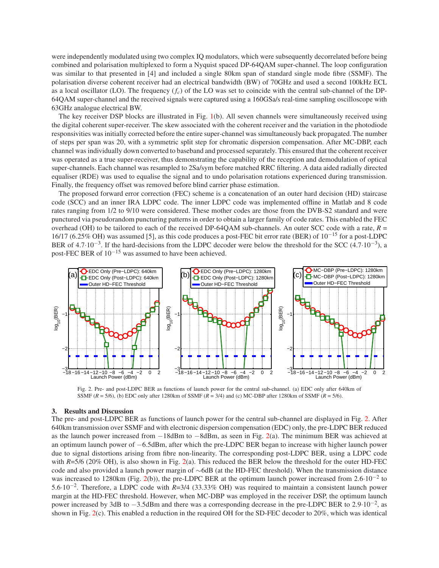were independently modulated using two complex IQ modulators, which were subsequently decorrelated before being combined and polarisation multiplexed to form a Nyquist spaced DP-64QAM super-channel. The loop configuration was similar to that presented in [4] and included a single 80km span of standard single mode fibre (SSMF). The polarisation diverse coherent receiver had an electrical bandwidth (BW) of 70GHz and used a second 100kHz ECL as a local oscillator (LO). The frequency  $(f_c)$  of the LO was set to coincide with the central sub-channel of the DP-64QAM super-channel and the received signals were captured using a 160GSa/s real-time sampling oscilloscope with 63GHz analogue electrical BW.

The key receiver DSP blocks are illustrated in Fig. 1(b). All seven channels were simultaneously received using the digital coherent super-receiver. The skew associated with the coherent receiver and the variation in the photodiode responsivities was initially corrected before the entire super-channel was simultaneously back propagated. The number of steps per span was 20, with a symmetric split step for chromatic dispersion compensation. After MC-DBP, each channel was individually down converted to baseband and processed separately. This ensured that the coherent receiver was operated as a true super-receiver, thus demonstrating the capability of the reception and demodulation of optical super-channels. Each channel was resampled to 2Sa/sym before matched RRC filtering. A data aided radially directed equaliser (RDE) was used to equalise the signal and to undo polarisation rotations experienced during transmission. Finally, the frequency offset was removed before blind carrier phase estimation.

The proposed forward error correction (FEC) scheme is a concatenation of an outer hard decision (HD) staircase code (SCC) and an inner IRA LDPC code. The inner LDPC code was implemented offline in Matlab and 8 code rates ranging from 1/2 to 9/10 were considered. These mother codes are those from the DVB-S2 standard and were punctured via pseudorandom puncturing patterns in order to obtain a larger family of code rates. This enabled the FEC overhead (OH) to be tailored to each of the received DP-64QAM sub-channels. An outer SCC code with a rate, *R* = 16/17 (6.25% OH) was assumed [5], as this code produces a post-FEC bit error rate (BER) of 10−<sup>15</sup> for a post-LDPC BER of 4.7·10<sup>-3</sup>. If the hard-decisions from the LDPC decoder were below the threshold for the SCC (4.7·10<sup>-3</sup>), a post-FEC BER of  $10^{-15}$  was assumed to have been achieved.



Fig. 2. Pre- and post-LDPC BER as functions of launch power for the central sub-channel. (a) EDC only after 640km of SSMF (*R* = 5/6), (b) EDC only after 1280km of SSMF (*R* = 3/4) and (c) MC-DBP after 1280km of SSMF (*R* = 5/6).

#### 3. Results and Discussion

The pre- and post-LDPC BER as functions of launch power for the central sub-channel are displayed in Fig. 2. After 640km transmission over SSMF and with electronic dispersion compensation (EDC) only, the pre-LDPC BER reduced as the launch power increased from −18dBm to −8dBm, as seen in Fig. 2(a). The minimum BER was achieved at an optimum launch power of −6.5dBm, after which the pre-LDPC BER began to increase with higher launch power due to signal distortions arising from fibre non-linearity. The corresponding post-LDPC BER, using a LDPC code with  $R=5/6$  (20% OH), is also shown in Fig. 2(a). This reduced the BER below the threshold for the outer HD-FEC code and also provided a launch power margin of ∼6dB (at the HD-FEC threshold). When the transmission distance was increased to 1280km (Fig. 2(b)), the pre-LDPC BER at the optimum launch power increased from 2.6·10<sup>-2</sup> to 5.6·10−<sup>2</sup> . Therefore, a LDPC code with *R*=3/4 (33.33% OH) was required to maintain a consistent launch power margin at the HD-FEC threshold. However, when MC-DBP was employed in the receiver DSP, the optimum launch power increased by 3dB to −3.5dBm and there was a corresponding decrease in the pre-LDPC BER to 2.9·10−<sup>2</sup> , as shown in Fig. 2(c). This enabled a reduction in the required OH for the SD-FEC decoder to 20%, which was identical